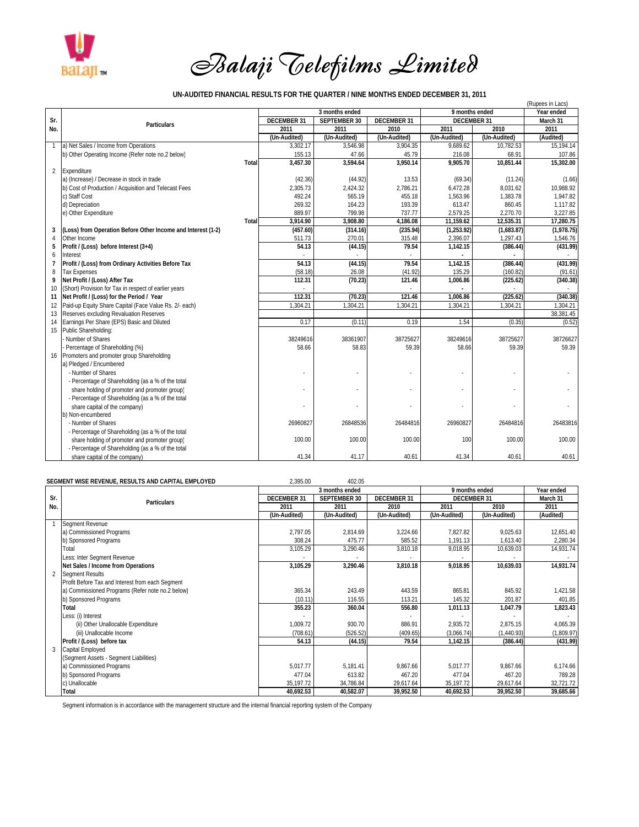

 *Balaji Telefilms Limited*

 **UN-AUDITED FINANCIAL RESULTS FOR THE QUARTER / NINE MONTHS ENDED DECEMBER 31, 2011**

| (Rupees in Lacs) |                                                              |                    |                     |                    |                    |                |              |                     |  |  |  |  |
|------------------|--------------------------------------------------------------|--------------------|---------------------|--------------------|--------------------|----------------|--------------|---------------------|--|--|--|--|
|                  |                                                              |                    |                     | 3 months ended     |                    | 9 months ended | Year ended   |                     |  |  |  |  |
| Sr.              | Particulars                                                  | <b>DECEMBER 31</b> | <b>SEPTEMBER 30</b> | <b>DECEMBER 31</b> | <b>DECEMBER 31</b> |                | March 31     |                     |  |  |  |  |
| No.              |                                                              | 2011               | 2011                | 2010               | 2011               | 2010           | 2011         |                     |  |  |  |  |
|                  |                                                              |                    | (Un-Audited)        | (Un-Audited)       | (Un-Audited)       | (Un-Audited)   | (Un-Audited) | (Audited)           |  |  |  |  |
| $\mathbf{1}$     | a) Net Sales / Income from Operations                        |                    | 3,302.17            | 3,546.98           | 3,904.35           | 9,689.62       | 10,782.53    | 15,194.14           |  |  |  |  |
|                  | b) Other Operating Income (Refer note no.2 below)            |                    | 155.13              | 47.66              | 45.79              | 216.08         | 68.91        | 107.86              |  |  |  |  |
|                  |                                                              | Total              | 3,457.30            | 3.594.64           | 3,950.14           | 9.905.70       | 10,851.44    | 15,302.00           |  |  |  |  |
| $\overline{2}$   | Expenditure                                                  |                    |                     |                    |                    |                |              |                     |  |  |  |  |
|                  | a) (Increase) / Decrease in stock in trade                   |                    | (42.36)             | (44.92)            | 13.53              | (69.34)        | (11.24)      | (1.66)              |  |  |  |  |
|                  | b) Cost of Production / Acquisition and Telecast Fees        |                    | 2,305.73            | 2,424.32           | 2,786.21           | 6,472.28       | 8,031.62     | 10,988.92           |  |  |  |  |
|                  | c) Staff Cost                                                |                    | 492.24              | 565.19             | 455.18             | 1,563.96       | 1,383.78     | 1,947.82            |  |  |  |  |
|                  | d) Depreciation                                              |                    | 269.32              | 164.23             | 193.39             | 613.47         | 860.45       | 1,117.82            |  |  |  |  |
|                  | e) Other Expenditure                                         |                    | 889.97              | 799.98             | 737.77             | 2,579.25       | 2,270.70     | 3,227.85            |  |  |  |  |
|                  |                                                              | Total              | 3.914.90            | 3.908.80           | 4.186.08           | 11.159.62      | 12.535.31    | 17.280.75           |  |  |  |  |
| 3                | (Loss) from Operation Before Other Income and Interest (1-2) |                    | (457.60)            | (314.16)           | (235.94)           | (1,253.92)     | (1,683.87)   | (1,978.75)          |  |  |  |  |
| $\overline{A}$   | Other Income                                                 |                    | 511.73              | 270.01             | 315.48             | 2,396.07       | 1,297.43     | 1,546.76            |  |  |  |  |
| 5                | Profit / (Loss) before Interest (3+4)                        |                    | 54.13               | (44.15)            | 79.54              | 1,142.15       | (386.44)     | (431.99)            |  |  |  |  |
| 6                | Interest                                                     |                    |                     |                    |                    |                |              | $\hat{\phantom{a}}$ |  |  |  |  |
| $\overline{7}$   | Profit / (Loss) from Ordinary Activities Before Tax          |                    | 54.13               | (44.15)            | 79.54              | 1,142.15       | (386.44)     | (431.99)            |  |  |  |  |
| 8                | <b>Tax Expenses</b>                                          |                    | (58.18)             | 26.08              | (41.92)            | 135.29         | (160.82)     | (91.61)             |  |  |  |  |
| 9                | Net Profit / (Loss) After Tax                                |                    | 112.31              | (70.23)            | 121.46             | 1,006.86       | (225.62)     | (340.38)            |  |  |  |  |
| 10               | (Short) Provision for Tax in respect of earlier years        |                    |                     |                    |                    |                |              |                     |  |  |  |  |
| 11               | Net Profit / (Loss) for the Period / Year                    |                    | 112.31              | (70.23)            | 121.46             | 1,006.86       | (225.62)     | (340.38)            |  |  |  |  |
| 12               | Paid-up Equity Share Capital (Face Value Rs. 2/- each)       |                    | 1.304.21            | 1.304.21           | 1.304.21           | 1.304.21       | 1.304.21     | 1.304.21            |  |  |  |  |
| 13               | Reserves excluding Revaluation Reserves                      |                    |                     |                    |                    |                |              | 38,381.45           |  |  |  |  |
| 14               | Earnings Per Share (EPS) Basic and Diluted                   |                    | 0.17                | (0.11)             | 0.19               | 1.54           | (0.35)       | (0.52)              |  |  |  |  |
| 15               | Public Shareholding:                                         |                    |                     |                    |                    |                |              |                     |  |  |  |  |
|                  | Number of Shares                                             |                    | 38249616            | 38361907           | 38725627           | 38249616       | 38725627     | 38726627            |  |  |  |  |
|                  | Percentage of Shareholding (%)                               |                    | 58.66               | 58.83              | 59.39              | 58.66          | 59.39        | 59.39               |  |  |  |  |
| 16               | Promoters and promoter group Shareholding                    |                    |                     |                    |                    |                |              |                     |  |  |  |  |
|                  | a) Pledged / Encumbered                                      |                    |                     |                    |                    |                |              |                     |  |  |  |  |
|                  | - Number of Shares                                           |                    |                     |                    |                    |                |              |                     |  |  |  |  |
|                  | - Percentage of Shareholding (as a % of the total            |                    |                     |                    |                    |                |              |                     |  |  |  |  |
|                  | share holding of promoter and promoter group)                |                    |                     |                    |                    |                |              |                     |  |  |  |  |
|                  | - Percentage of Shareholding (as a % of the total            |                    |                     |                    |                    |                |              |                     |  |  |  |  |
|                  | share capital of the company)                                |                    |                     |                    |                    |                |              |                     |  |  |  |  |
|                  | b) Non-encumbered                                            |                    |                     |                    |                    |                |              |                     |  |  |  |  |
|                  | - Number of Shares                                           |                    | 26960827            | 26848536           | 26484816           | 26960827       | 26484816     | 26483816            |  |  |  |  |
|                  | - Percentage of Shareholding (as a % of the total            |                    |                     |                    |                    |                |              |                     |  |  |  |  |
|                  | share holding of promoter and promoter group)                |                    | 100.00              | 100.00             | 100.00             | 100            | 100.00       | 100.00              |  |  |  |  |
|                  | - Percentage of Shareholding (as a % of the total            |                    |                     |                    |                    |                |              |                     |  |  |  |  |
|                  | share capital of the company)                                |                    | 41.34               | 41.17              | 40.61              | 41.34          | 40.61        | 40.61               |  |  |  |  |

## **SEGMENT WISE REVENUE, RESULTS AND CAPITAL EMPLOYED** 2,395.00 402.05

|     |                                                  |                    | 3 months ended      |                    | 9 months ended     | Year ended   |            |
|-----|--------------------------------------------------|--------------------|---------------------|--------------------|--------------------|--------------|------------|
| Sr. | <b>Particulars</b>                               | <b>DECEMBER 31</b> | <b>SEPTEMBER 30</b> | <b>DECEMBER 31</b> | <b>DECEMBER 31</b> | March 31     |            |
| No. |                                                  | 2011               | 2011                | 2010               | 2011               | 2010         | 2011       |
|     |                                                  | (Un-Audited)       | (Un-Audited)        | (Un-Audited)       | (Un-Audited)       | (Un-Audited) | (Audited)  |
|     | Segment Revenue                                  |                    |                     |                    |                    |              |            |
|     | a) Commissioned Programs                         | 2,797.05           | 2,814.69            | 3,224.66           | 7,827.82           | 9,025.63     | 12,651.40  |
|     | b) Sponsored Programs                            | 308.24             | 475.77              | 585.52             | 1,191.13           | 1,613.40     | 2,280.34   |
|     | Total                                            | 3,105.29           | 3,290.46            | 3,810.18           | 9.018.95           | 10,639.03    | 14,931.74  |
|     | Less: Inter Segment Revenue                      |                    |                     |                    |                    |              |            |
|     | Net Sales / Income from Operations               | 3,105.29           | 3,290.46            | 3,810.18           | 9,018.95           | 10,639.03    | 14,931.74  |
|     | 2 Segment Results                                |                    |                     |                    |                    |              |            |
|     | Profit Before Tax and Interest from each Segment |                    |                     |                    |                    |              |            |
|     | a) Commissioned Programs (Refer note no.2 below) | 365.34             | 243.49              | 443.59             | 865.81             | 845.92       | 1,421.58   |
|     | b) Sponsored Programs                            | (10.11)            | 116.55              | 113.21             | 145.32             | 201.87       | 401.85     |
|     | Total                                            | 355.23             | 360.04              | 556.80             | 1,011.13           | 1,047.79     | 1,823.43   |
|     | Less: (i) Interest                               |                    |                     |                    |                    |              |            |
|     | (ii) Other Unallocable Expenditure               | 1,009.72           | 930.70              | 886.91             | 2,935.72           | 2,875.15     | 4,065.39   |
|     | (iii) Unallocable Income                         | (708.61)           | (526.52)            | (409.65)           | (3,066.74)         | (1,440.93)   | (1,809.97) |
|     | Profit / (Loss) before tax                       | 54.13              | (44.15)             | 79.54              | 1,142.15           | (386.44)     | (431.99)   |
|     | Capital Employed                                 |                    |                     |                    |                    |              |            |
|     | (Segment Assets - Segment Liabilities)           |                    |                     |                    |                    |              |            |
|     | a) Commissioned Programs                         | 5,017.77           | 5,181.41            | 9,867.66           | 5,017.77           | 9,867.66     | 6,174.66   |
|     | b) Sponsored Programs                            | 477.04             | 613.82              | 467.20             | 477.04             | 467.20       | 789.28     |
|     | c) Unallocable                                   | 35,197.72          | 34,786.84           | 29,617.64          | 35,197.72          | 29,617.64    | 32,721.72  |
|     | Total                                            | 40,692.53          | 40,582.07           | 39,952.50          | 40,692.53          | 39,952.50    | 39,685.66  |

Segment information is in accordance with the management structure and the internal financial reporting system of the Company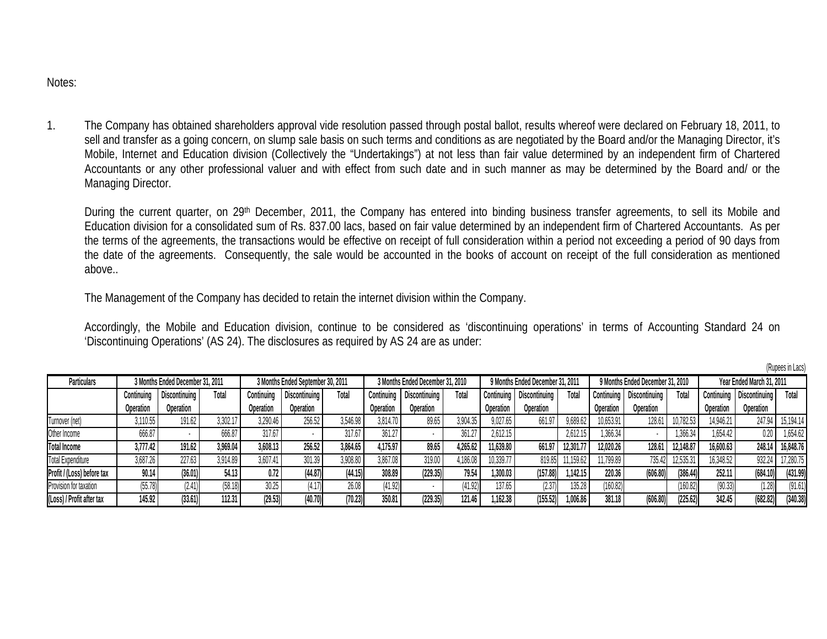Notes:

1. The Company has obtained shareholders approval vide resolution passed through postal ballot, results whereof were declared on February 18, 2011, to sell and transfer as a going concern, on slump sale basis on such terms and conditions as are negotiated by the Board and/or the Managing Director, it's Mobile, Internet and Education division (Collectively the "Undertakings") at not less than fair value determined by an independent firm of Chartered Accountants or any other professional valuer and with effect from such date and in such manner as may be determined by the Board and/ or the Managing Director.

During the current quarter, on 29<sup>th</sup> December, 2011, the Company has entered into binding business transfer agreements, to sell its Mobile and Education division for a consolidated sum of Rs. 837.00 lacs, based on fair value determined by an independent firm of Chartered Accountants. As per the terms of the agreements, the transactions would be effective on receipt of full consideration within a period not exceeding a period of 90 days from the date of the agreements. Consequently, the sale would be accounted in the books of account on receipt of the full consideration as mentioned above..

The Management of the Company has decided to retain the internet division within the Company.

Accordingly, the Mobile and Education division, continue to be considered as 'discontinuing operations' in terms of Accounting Standard 24 on 'Discontinuing Operations' (AS 24). The disclosures as required by AS 24 are as under:

(Rupees in Lacs)

| Trahoop in Eans)           |                                  |                      |          |                                   |               |          |                                  |               |          |                                  |               |           |                                  |               |           |                           |                      |           |
|----------------------------|----------------------------------|----------------------|----------|-----------------------------------|---------------|----------|----------------------------------|---------------|----------|----------------------------------|---------------|-----------|----------------------------------|---------------|-----------|---------------------------|----------------------|-----------|
| <b>Particulars</b>         | 3 Months Ended December 31, 2011 |                      |          | 3 Months Ended September 30, 2011 |               |          | 3 Months Ended December 31, 2010 |               |          | 9 Months Ended December 31, 2011 |               |           | 9 Months Ended December 31, 2010 |               |           | Year Ended March 31, 2011 |                      |           |
|                            | Continuing                       | <b>Discontinuing</b> | Total    | Continuing                        | Discontinuing | Total    | Continuing                       | Discontinuing | Total    | Continuing                       | Discontinuing | Total     | Continuing                       | Discontinuing | Total     | Continuing                | <b>Discontinuing</b> | Total     |
|                            | Operation                        | Operation            |          | Operation                         | Operation     |          | <b>Operation</b>                 | Operation     |          | Operation                        | Operation     |           | Operation                        | Operation     |           | Operation                 | Operation            |           |
| Turnover (net)             | 3,110.55                         | 191.62               | 3,302.1  | 3,290.46                          | 256.52        | 3,546.98 | 3,814.70                         | 89.65         | 3,904.35 | 9,027.65                         | 661.97        | 9,689.62  | 0,653.91                         | 128.61        | 10,782.5  | 14,946.21                 | 247.94               | 15,194.14 |
| Other Income               | 666.87                           |                      | 666.8    | 317.67                            |               | 317.67   | 361.27                           |               | 361.2    | 2,612.15                         |               | 2,612.15  | 1,366.34                         |               | 1.366.3   | 1,654.42                  | $.20-1$              | 1,654.62  |
| <b>Total Income</b>        | 3,777.42                         | 191.62               | 3,969.04 | 3,608.13                          | 256.52        | 3,864.65 | 4,175.97                         | 89.65         | 1,265.62 | 11,639.80                        | 661.97        | 12,301.77 | 12,020.26                        | 128.61        | 12,148.87 | 16,600.63                 | 248.1                | 16,848.76 |
| <b>Total Expenditure</b>   | 3,687.26                         | 227.63               | 3,914.89 | 3,607.41                          | 301.39        | 3,908.80 | 3,867.08                         | 319.00        | ,186.08  | 0,339.7                          | 819.85        | 11,159.62 | 11,799.89                        | 735.42        | 12,535.3  | 16,348.52                 | 932.2                | 17,280.79 |
| Profit / (Loss) before tax | 90.14                            | (36.01)              | 54.13    | 0.72                              | (44.87)       | (44.15)  | 308.89                           | (229.35)      | 79.54    | ,300.03                          | (157.88)      | ,142.15   | 220.36                           | (606.80)      | (386.44)  | 252.1                     | (684.10)             | (431.99)  |
| Provision for taxation     | (55.78)                          | (2.41)               | (58.18)  | 30.25                             |               | 26.08    | (41.92)                          |               | (41.92)  | 137.65                           | (2.37)        | 135.28    | (160.82)                         |               | '160.82   | YU.331                    | (1.28)               | (91.61)   |
| (Loss) / Profit after tax  | 145.92                           | (33.61)              | 112.31   | (29.53)                           | (40.70)       | (70.23)  | 350.81                           | (229.35)      | 121.46   | ,162.38                          | (155.52)      | ,006.86   | 381.18                           | (606.80)      | (225.62)  | 342.45                    | (682.82)             | (340.38)  |